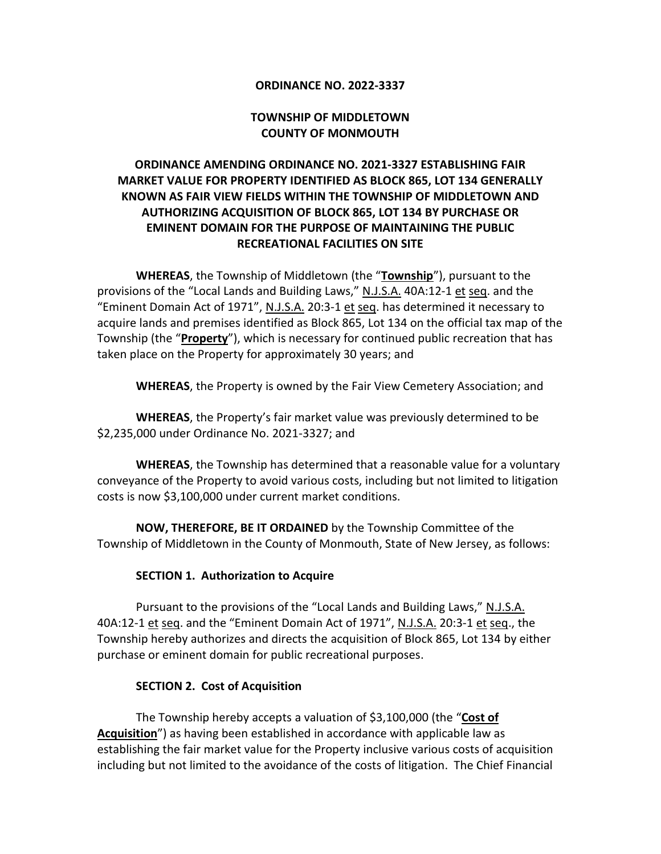#### **ORDINANCE NO. 2022-3337**

## **TOWNSHIP OF MIDDLETOWN COUNTY OF MONMOUTH**

# **ORDINANCE AMENDING ORDINANCE NO. 2021-3327 ESTABLISHING FAIR MARKET VALUE FOR PROPERTY IDENTIFIED AS BLOCK 865, LOT 134 GENERALLY KNOWN AS FAIR VIEW FIELDS WITHIN THE TOWNSHIP OF MIDDLETOWN AND AUTHORIZING ACQUISITION OF BLOCK 865, LOT 134 BY PURCHASE OR EMINENT DOMAIN FOR THE PURPOSE OF MAINTAINING THE PUBLIC RECREATIONAL FACILITIES ON SITE**

**WHEREAS**, the Township of Middletown (the "**Township**"), pursuant to the provisions of the "Local Lands and Building Laws," N.J.S.A. 40A:12-1 et seq. and the "Eminent Domain Act of 1971", N.J.S.A. 20:3-1 et seq. has determined it necessary to acquire lands and premises identified as Block 865, Lot 134 on the official tax map of the Township (the "**Property**"), which is necessary for continued public recreation that has taken place on the Property for approximately 30 years; and

**WHEREAS**, the Property is owned by the Fair View Cemetery Association; and

**WHEREAS**, the Property's fair market value was previously determined to be \$2,235,000 under Ordinance No. 2021-3327; and

**WHEREAS**, the Township has determined that a reasonable value for a voluntary conveyance of the Property to avoid various costs, including but not limited to litigation costs is now \$3,100,000 under current market conditions.

**NOW, THEREFORE, BE IT ORDAINED** by the Township Committee of the Township of Middletown in the County of Monmouth, State of New Jersey, as follows:

#### **SECTION 1. Authorization to Acquire**

Pursuant to the provisions of the "Local Lands and Building Laws," N.J.S.A. 40A:12-1 et seq. and the "Eminent Domain Act of 1971", N.J.S.A. 20:3-1 et seq., the Township hereby authorizes and directs the acquisition of Block 865, Lot 134 by either purchase or eminent domain for public recreational purposes.

#### **SECTION 2. Cost of Acquisition**

The Township hereby accepts a valuation of \$3,100,000 (the "**Cost of Acquisition**") as having been established in accordance with applicable law as establishing the fair market value for the Property inclusive various costs of acquisition including but not limited to the avoidance of the costs of litigation. The Chief Financial